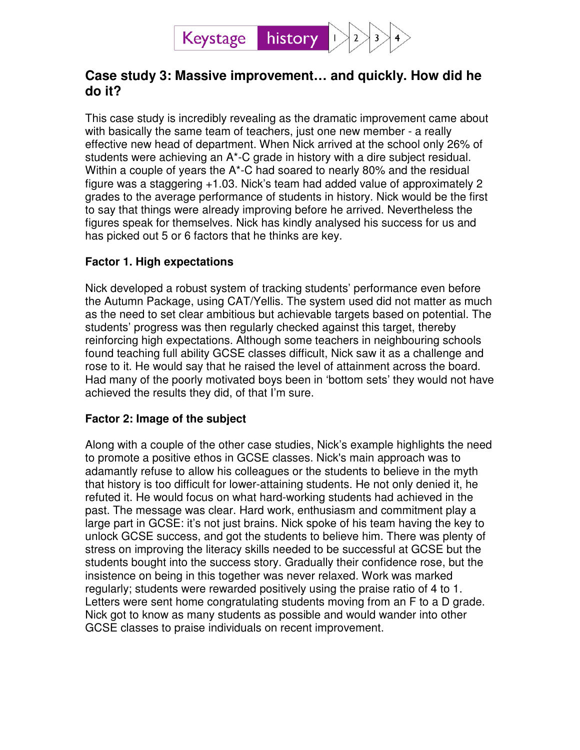

# **Case study 3: Massive improvement… and quickly. How did he do it?**

This case study is incredibly revealing as the dramatic improvement came about with basically the same team of teachers, just one new member - a really effective new head of department. When Nick arrived at the school only 26% of students were achieving an A\*-C grade in history with a dire subject residual. Within a couple of years the A\*-C had soared to nearly 80% and the residual figure was a staggering +1.03. Nick's team had added value of approximately 2 grades to the average performance of students in history. Nick would be the first to say that things were already improving before he arrived. Nevertheless the figures speak for themselves. Nick has kindly analysed his success for us and has picked out 5 or 6 factors that he thinks are key.

## **Factor 1. High expectations**

Nick developed a robust system of tracking students' performance even before the Autumn Package, using CAT/Yellis. The system used did not matter as much as the need to set clear ambitious but achievable targets based on potential. The students' progress was then regularly checked against this target, thereby reinforcing high expectations. Although some teachers in neighbouring schools found teaching full ability GCSE classes difficult, Nick saw it as a challenge and rose to it. He would say that he raised the level of attainment across the board. Had many of the poorly motivated boys been in 'bottom sets' they would not have achieved the results they did, of that I'm sure.

## **Factor 2: Image of the subject**

Along with a couple of the other case studies, Nick's example highlights the need to promote a positive ethos in GCSE classes. Nick's main approach was to adamantly refuse to allow his colleagues or the students to believe in the myth that history is too difficult for lower-attaining students. He not only denied it, he refuted it. He would focus on what hard-working students had achieved in the past. The message was clear. Hard work, enthusiasm and commitment play a large part in GCSE: it's not just brains. Nick spoke of his team having the key to unlock GCSE success, and got the students to believe him. There was plenty of stress on improving the literacy skills needed to be successful at GCSE but the students bought into the success story. Gradually their confidence rose, but the insistence on being in this together was never relaxed. Work was marked regularly; students were rewarded positively using the praise ratio of 4 to 1. Letters were sent home congratulating students moving from an F to a D grade. Nick got to know as many students as possible and would wander into other GCSE classes to praise individuals on recent improvement.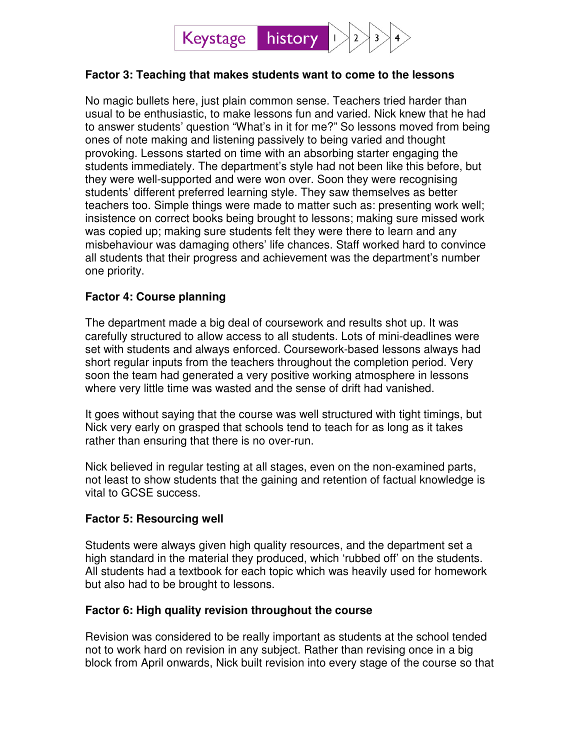

#### **Factor 3: Teaching that makes students want to come to the lessons**

No magic bullets here, just plain common sense. Teachers tried harder than usual to be enthusiastic, to make lessons fun and varied. Nick knew that he had to answer students' question "What's in it for me?" So lessons moved from being ones of note making and listening passively to being varied and thought provoking. Lessons started on time with an absorbing starter engaging the students immediately. The department's style had not been like this before, but they were well-supported and were won over. Soon they were recognising students' different preferred learning style. They saw themselves as better teachers too. Simple things were made to matter such as: presenting work well; insistence on correct books being brought to lessons; making sure missed work was copied up; making sure students felt they were there to learn and any misbehaviour was damaging others' life chances. Staff worked hard to convince all students that their progress and achievement was the department's number one priority.

### **Factor 4: Course planning**

The department made a big deal of coursework and results shot up. It was carefully structured to allow access to all students. Lots of mini-deadlines were set with students and always enforced. Coursework-based lessons always had short regular inputs from the teachers throughout the completion period. Very soon the team had generated a very positive working atmosphere in lessons where very little time was wasted and the sense of drift had vanished.

It goes without saying that the course was well structured with tight timings, but Nick very early on grasped that schools tend to teach for as long as it takes rather than ensuring that there is no over-run.

Nick believed in regular testing at all stages, even on the non-examined parts, not least to show students that the gaining and retention of factual knowledge is vital to GCSE success.

#### **Factor 5: Resourcing well**

Students were always given high quality resources, and the department set a high standard in the material they produced, which 'rubbed off' on the students. All students had a textbook for each topic which was heavily used for homework but also had to be brought to lessons.

#### **Factor 6: High quality revision throughout the course**

Revision was considered to be really important as students at the school tended not to work hard on revision in any subject. Rather than revising once in a big block from April onwards, Nick built revision into every stage of the course so that